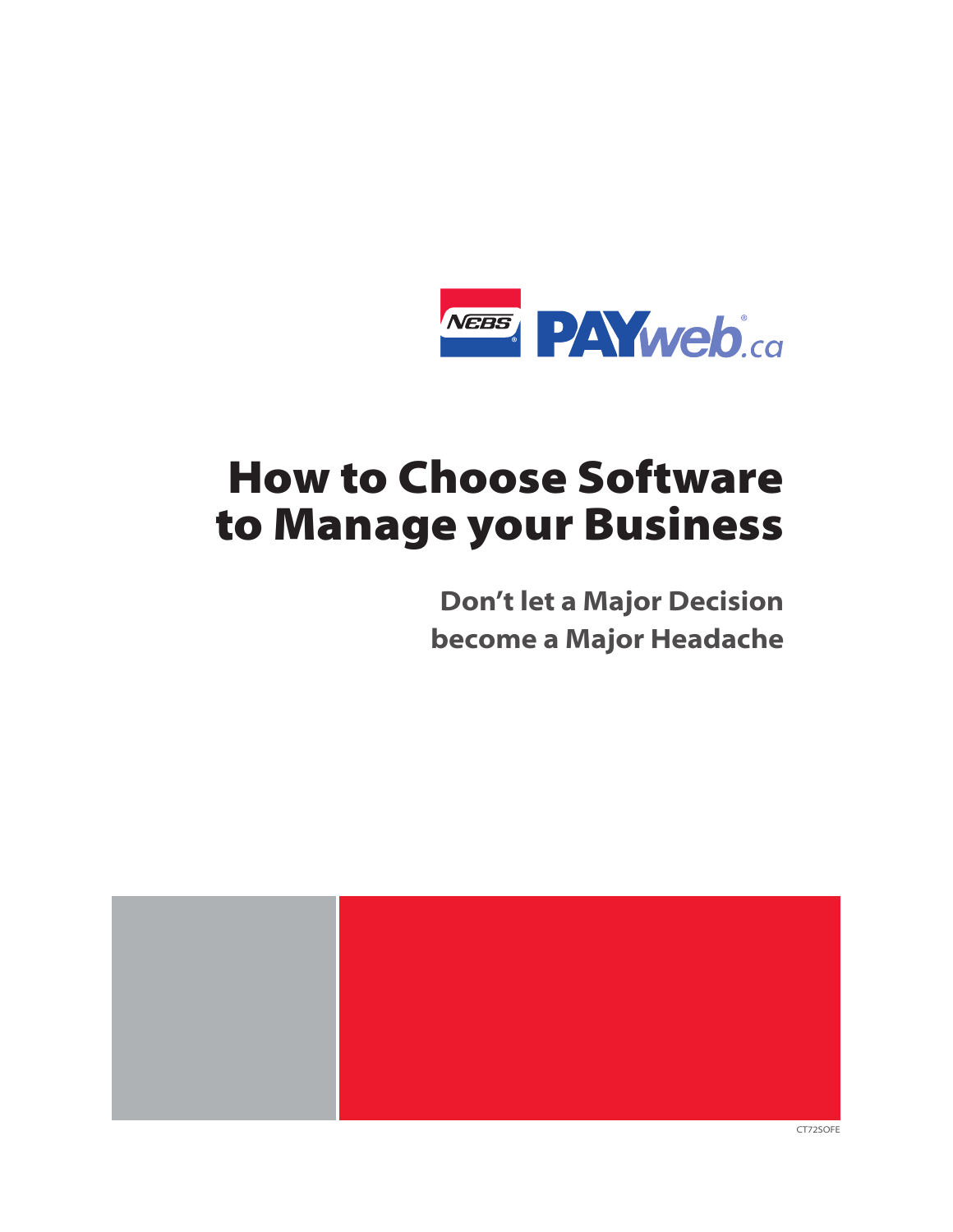

# **How to Choose Software** to Manage your Business

**Don't let a Major Decision** become a Major Headache

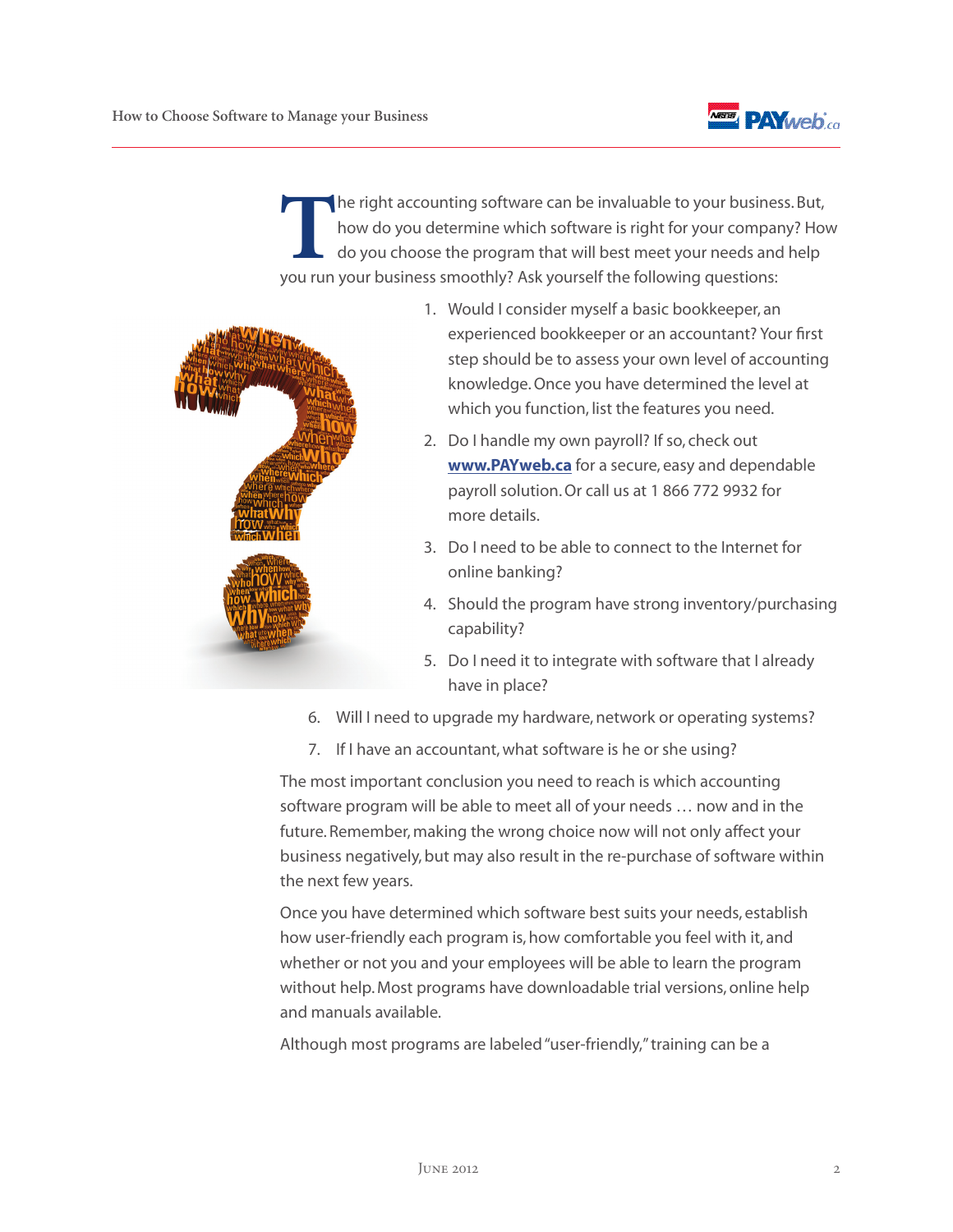

**T**he right accounting software can be invaluable to your business. But, how do you determine which software is right for your company? How do you choose the program that will best meet your needs and help you run your business smoothly? Ask yourself the following questions:



- 1. Would I consider myself a basic bookkeeper, an experienced bookkeeper or an accountant? Your first step should be to assess your own level of accounting knowledge. Once you have determined the level at which you function, list the features you need.
- 2. Do I handle my own payroll? If so, check out **[www.PAYweb.ca](http://www.payweb.ca/en/)** for a secure, easy and dependable payroll solution. Or call us at 1 866 772 9932 for more details.
- 3. Do I need to be able to connect to the Internet for online banking?
- 4. Should the program have strong inventory/purchasing capability?
- 5. Do I need it to integrate with software that I already have in place?
- 6. Will I need to upgrade my hardware, network or operating systems?
- 7. If I have an accountant, what software is he or she using?

The most important conclusion you need to reach is which accounting software program will be able to meet all of your needs … now and in the future. Remember, making the wrong choice now will not only affect your business negatively, but may also result in the re-purchase of software within the next few years.

Once you have determined which software best suits your needs, establish how user-friendly each program is, how comfortable you feel with it, and whether or not you and your employees will be able to learn the program without help. Most programs have downloadable trial versions, online help and manuals available.

Although most programs are labeled "user-friendly," training can be a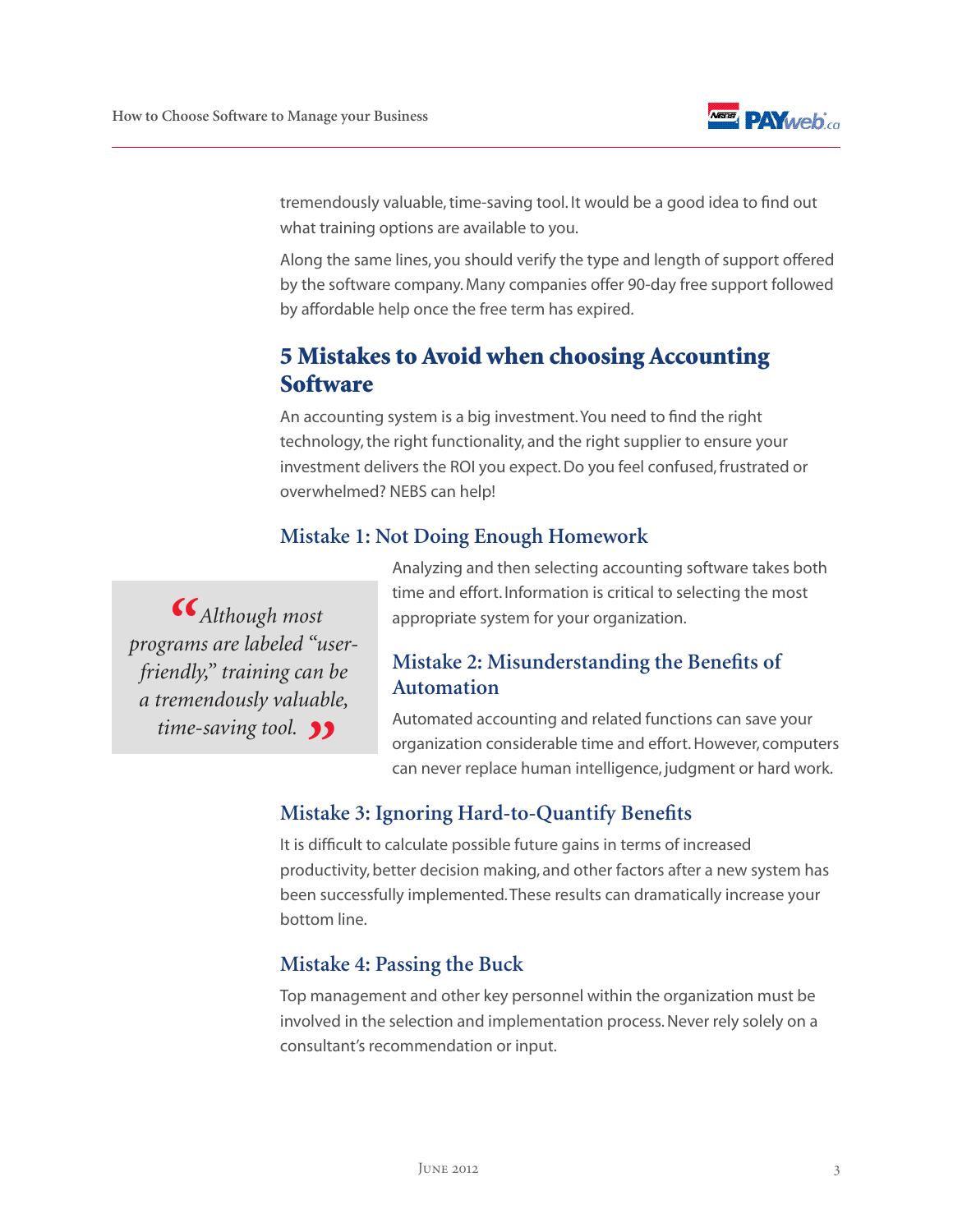

tremendously valuable, time-saving tool. It would be a good idea to find out what training options are available to you.

Along the same lines, you should verify the type and length of support offered by the software company. Many companies offer 90-day free support followed by affordable help once the free term has expired.

## 5 Mistakes to Avoid when choosing Accounting **Software**

An accounting system is a big investment. You need to find the right technology, the right functionality, and the right supplier to ensure your investment delivers the ROI you expect. Do you feel confused, frustrated or overwhelmed? NEBS can help!

#### **Mistake 1: Not Doing Enough Homework**

*" Although most programs are labeled "userfriendly," training can be a tremendously valuable, time-saving tool. 11* 

Analyzing and then selecting accounting software takes both time and effort. Information is critical to selecting the most appropriate system for your organization.

#### **Mistake 2: Misunderstanding the Benefits of Automation**

Automated accounting and related functions can save your organization considerable time and effort. However, computers can never replace human intelligence, judgment or hard work.

#### **Mistake 3: Ignoring Hard-to-Quantify Benefits**

It is difficult to calculate possible future gains in terms of increased productivity, better decision making, and other factors after a new system has been successfully implemented. These results can dramatically increase your bottom line.

#### **Mistake 4: Passing the Buck**

Top management and other key personnel within the organization must be involved in the selection and implementation process. Never rely solely on a consultant's recommendation or input.